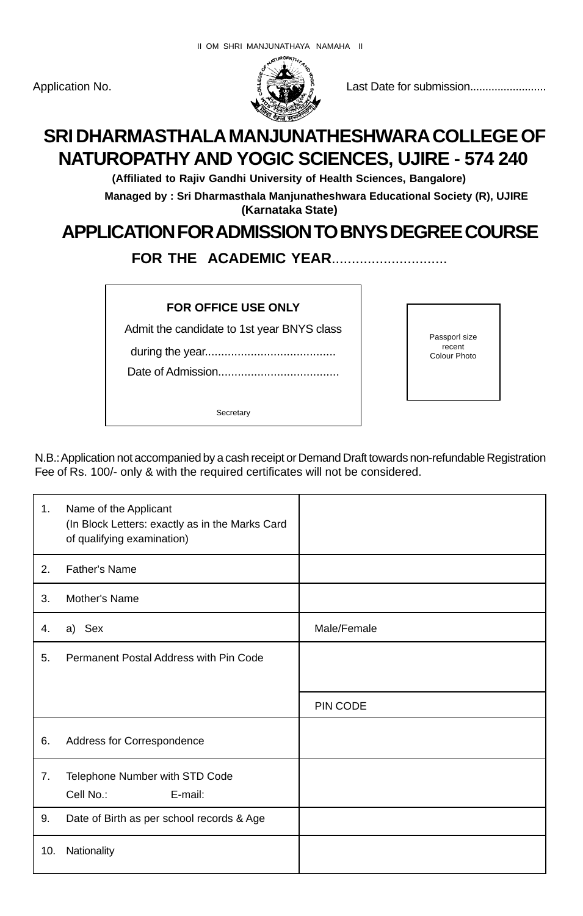

Application No. Last Date for submission.........................

# **SRI DHARMASTHALA MANJUNATHESHWARA COLLEGE OF NATUROPATHY AND YOGIC SCIENCES, UJIRE - 574 240**

**(Affiliated to Rajiv Gandhi University of Health Sciences, Bangalore)**

**Managed by : Sri Dharmasthala Manjunatheshwara Educational Society (R), UJIRE (Karnataka State)**

## **APPLICATION FOR ADMISSION TO BNYS DEGREE COURSE**

**FOR THE ACADEMIC YEAR.............................** 

#### **FOR OFFICE USE ONLY**

Admit the candidate to 1st year BNYS class

during the year........................................

Date of Admission.....................................

**Secretary** 

Passporl size recent Colour Photo

N.B.: Application not accompanied by a cash receipt or Demand Draft towards non-refundable Registration Fee of Rs. 100/- only & with the required certificates will not be considered.

| 1.  | Name of the Applicant<br>(In Block Letters: exactly as in the Marks Card<br>of qualifying examination) |             |
|-----|--------------------------------------------------------------------------------------------------------|-------------|
| 2.  | <b>Father's Name</b>                                                                                   |             |
| 3.  | Mother's Name                                                                                          |             |
| 4.  | a) Sex                                                                                                 | Male/Female |
| 5.  | Permanent Postal Address with Pin Code                                                                 |             |
|     |                                                                                                        |             |
|     |                                                                                                        | PIN CODE    |
| 6.  | Address for Correspondence                                                                             |             |
| 7.  | Telephone Number with STD Code                                                                         |             |
|     | Cell No.:<br>E-mail:                                                                                   |             |
| 9.  | Date of Birth as per school records & Age                                                              |             |
| 10. | Nationality                                                                                            |             |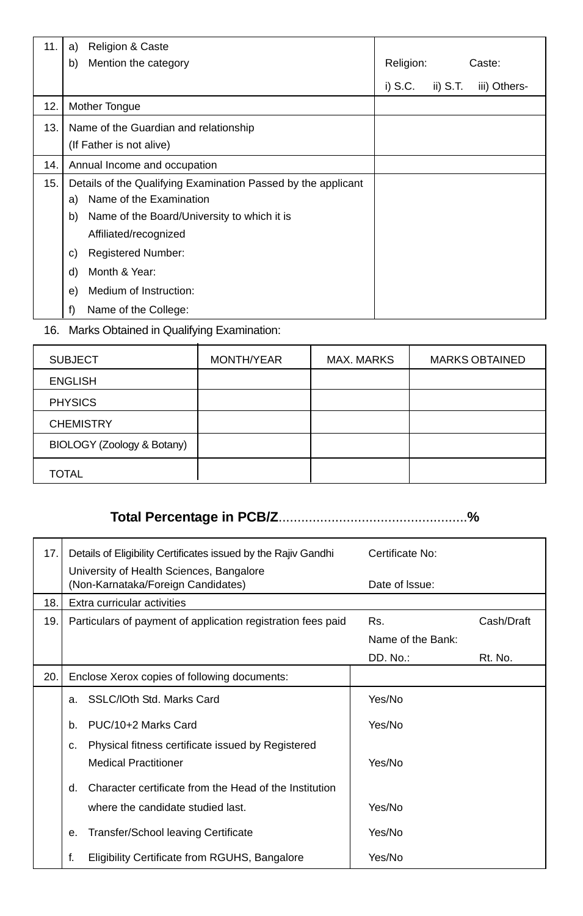| 11. | <b>Religion &amp; Caste</b><br>a)                             |           |            |              |
|-----|---------------------------------------------------------------|-----------|------------|--------------|
|     | Mention the category<br>b)                                    | Religion: |            | Caste:       |
|     |                                                               | i) S.C.   | $ii)$ S.T. | iii) Others- |
| 12. | Mother Tongue                                                 |           |            |              |
| 13. | Name of the Guardian and relationship                         |           |            |              |
|     | (If Father is not alive)                                      |           |            |              |
| 14. | Annual Income and occupation                                  |           |            |              |
| 15. | Details of the Qualifying Examination Passed by the applicant |           |            |              |
|     | Name of the Examination<br>a)                                 |           |            |              |
|     | Name of the Board/University to which it is<br>b)             |           |            |              |
|     | Affiliated/recognized                                         |           |            |              |
|     | <b>Registered Number:</b><br>C)                               |           |            |              |
|     | Month & Year:<br>d)                                           |           |            |              |
|     | Medium of Instruction:<br>e)                                  |           |            |              |
|     | f)<br>Name of the College:                                    |           |            |              |

16. Marks Obtained in Qualifying Examination:

| <b>SUBJECT</b>             | MONTH/YEAR | <b>MAX. MARKS</b> | <b>MARKS OBTAINED</b> |
|----------------------------|------------|-------------------|-----------------------|
| <b>ENGLISH</b>             |            |                   |                       |
| <b>PHYSICS</b>             |            |                   |                       |
| <b>CHEMISTRY</b>           |            |                   |                       |
| BIOLOGY (Zoology & Botany) |            |                   |                       |
| <b>TOTAL</b>               |            |                   |                       |

## **Total Percentage in PCB/Z**..................................................**%**

| 17. | Details of Eligibility Certificates issued by the Rajiv Gandhi                         | Certificate No:   |            |
|-----|----------------------------------------------------------------------------------------|-------------------|------------|
|     | University of Health Sciences, Bangalore<br>(Non-Karnataka/Foreign Candidates)         | Date of Issue:    |            |
| 18. | Extra curricular activities                                                            |                   |            |
| 19. | Particulars of payment of application registration fees paid                           | Rs.               | Cash/Draft |
|     |                                                                                        | Name of the Bank: |            |
|     |                                                                                        | DD. No.:          | Rt. No.    |
| 20. | Enclose Xerox copies of following documents:                                           |                   |            |
|     | a. SSLC/IOth Std. Marks Card                                                           | Yes/No            |            |
|     | PUC/10+2 Marks Card<br>b.                                                              | Yes/No            |            |
|     | Physical fitness certificate issued by Registered<br>c.<br><b>Medical Practitioner</b> | Yes/No            |            |
|     | Character certificate from the Head of the Institution<br>d.                           |                   |            |
|     | where the candidate studied last.                                                      | Yes/No            |            |
|     | <b>Transfer/School leaving Certificate</b><br>е.                                       | Yes/No            |            |
|     | f.<br>Eligibility Certificate from RGUHS, Bangalore                                    | Yes/No            |            |